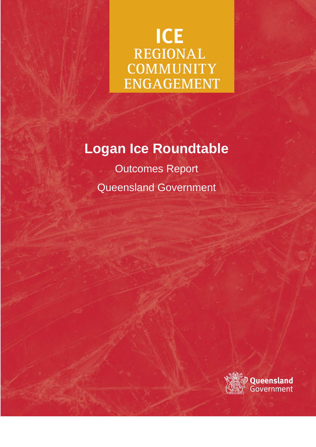# **ICE** REGIONAL **COMMUNITY ENGAGEMENT**

# **Logan Ice Roundtable**

Outcomes Report Queensland Government

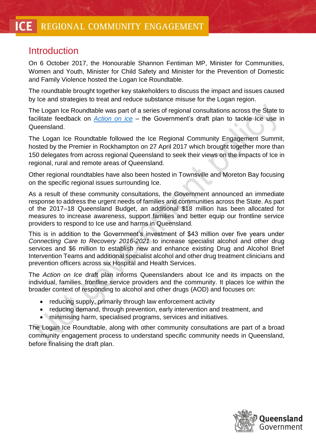# **Introduction**

On 6 October 2017, the Honourable Shannon Fentiman MP, Minister for Communities, Women and Youth, Minister for Child Safety and Minister for the Prevention of Domestic and Family Violence hosted the Logan Ice Roundtable.

The roundtable brought together key stakeholders to discuss the impact and issues caused by Ice and strategies to treat and reduce substance misuse for the Logan region.

The Logan Ice Roundtable was part of a series of regional consultations across the State to facilitate feedback on *[Action on ice](https://www.premiers.qld.gov.au/assets/action-on-ice.pdf)* – the Government's draft plan to tackle Ice use in Queensland.

The Logan Ice Roundtable followed the Ice Regional Community Engagement Summit, hosted by the Premier in Rockhampton on 27 April 2017 which brought together more than 150 delegates from across regional Queensland to seek their views on the impacts of Ice in regional, rural and remote areas of Queensland.

Other regional roundtables have also been hosted in Townsville and Moreton Bay focusing on the specific regional issues surrounding Ice.

As a result of these community consultations, the Government announced an immediate response to address the urgent needs of families and communities across the State. As part of the 2017–18 Queensland Budget, an additional \$18 million has been allocated for measures to increase awareness, support families and better equip our frontline service providers to respond to Ice use and harms in Queensland.

This is in addition to the Government's investment of \$43 million over five years under *Connecting Care to Recovery 2016-2021* to increase specialist alcohol and other drug services and \$6 million to establish new and enhance existing Drug and Alcohol Brief Intervention Teams and additional specialist alcohol and other drug treatment clinicians and prevention officers across six Hospital and Health Services.

The *Action on Ice* draft plan informs Queenslanders about Ice and its impacts on the individual, families, frontline service providers and the community. It places Ice within the broader context of responding to alcohol and other drugs (AOD) and focuses on:

- reducing supply, primarily through law enforcement activity
- reducing demand, through prevention, early intervention and treatment, and
- minimising harm, specialised programs, services and initiatives.

The Logan Ice Roundtable, along with other community consultations are part of a broad community engagement process to understand specific community needs in Queensland, before finalising the draft plan.

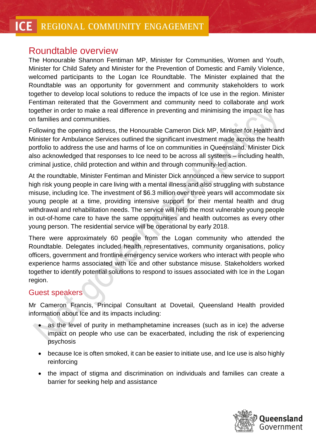#### **ICE** REGIONAL COMMUNITY ENGAGEMENT

## Roundtable overview

The Honourable Shannon Fentiman MP, Minister for Communities, Women and Youth, Minister for Child Safety and Minister for the Prevention of Domestic and Family Violence, welcomed participants to the Logan Ice Roundtable. The Minister explained that the Roundtable was an opportunity for government and community stakeholders to work together to develop local solutions to reduce the impacts of Ice use in the region. Minister Fentiman reiterated that the Government and community need to collaborate and work together in order to make a real difference in preventing and minimising the impact Ice has on families and communities.

Following the opening address, the Honourable Cameron Dick MP, Minister for Health and Minister for Ambulance Services outlined the significant investment made across the health portfolio to address the use and harms of Ice on communities in Queensland. Minister Dick also acknowledged that responses to Ice need to be across all systems – including health, criminal justice, child protection and within and through community-led action.

At the roundtable, Minister Fentiman and Minister Dick announced a new service to support high risk young people in care living with a mental illness and also struggling with substance misuse, including Ice. The investment of \$6.3 million over three years will accommodate six young people at a time, providing intensive support for their mental health and drug withdrawal and rehabilitation needs. The service will help the most vulnerable young people in out-of-home care to have the same opportunities and health outcomes as every other young person. The residential service will be operational by early 2018.

There were approximately 60 people from the Logan community who attended the Roundtable. Delegates included health representatives, community organisations, policy officers, government and frontline emergency service workers who interact with people who experience harms associated with Ice and other substance misuse. Stakeholders worked together to identify potential solutions to respond to issues associated with Ice in the Logan region.

#### Guest speakers

Mr Cameron Francis, Principal Consultant at Dovetail, Queensland Health provided information about Ice and its impacts including:

- as the level of purity in methamphetamine increases (such as in ice) the adverse impact on people who use can be exacerbated, including the risk of experiencing psychosis
- because Ice is often smoked, it can be easier to initiate use, and Ice use is also highly reinforcing
- the impact of stigma and discrimination on individuals and families can create a barrier for seeking help and assistance

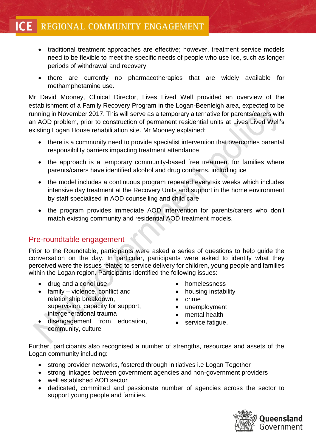- traditional treatment approaches are effective; however, treatment service models need to be flexible to meet the specific needs of people who use Ice, such as longer periods of withdrawal and recovery
- there are currently no pharmacotherapies that are widely available for methamphetamine use.

Mr David Mooney, Clinical Director, Lives Lived Well provided an overview of the establishment of a Family Recovery Program in the Logan-Beenleigh area, expected to be running in November 2017. This will serve as a temporary alternative for parents/carers with an AOD problem, prior to construction of permanent residential units at Lives Lived Well's existing Logan House rehabilitation site. Mr Mooney explained:

- there is a community need to provide specialist intervention that overcomes parental responsibility barriers impacting treatment attendance
- the approach is a temporary community-based free treatment for families where parents/carers have identified alcohol and drug concerns, including ice
- the model includes a continuous program repeated every six weeks which includes intensive day treatment at the Recovery Units and support in the home environment by staff specialised in AOD counselling and child care
- the program provides immediate AOD intervention for parents/carers who don't match existing community and residential AOD treatment models.

#### Pre-roundtable engagement

Prior to the Roundtable, participants were asked a series of questions to help guide the conversation on the day. In particular, participants were asked to identify what they perceived were the issues related to service delivery for children, young people and families within the Logan region. Participants identified the following issues:

- drug and alcohol use
- family violence, conflict and relationship breakdown, supervision, capacity for support, intergenerational trauma
	- disengagement from education, community, culture
- homelessness
- housing instability
- crime
- unemployment
- mental health
- service fatique.

Further, participants also recognised a number of strengths, resources and assets of the Logan community including:

- strong provider networks, fostered through initiatives i.e Logan Together
- strong linkages between government agencies and non-government providers
- well established AOD sector
- dedicated, committed and passionate number of agencies across the sector to support young people and families.

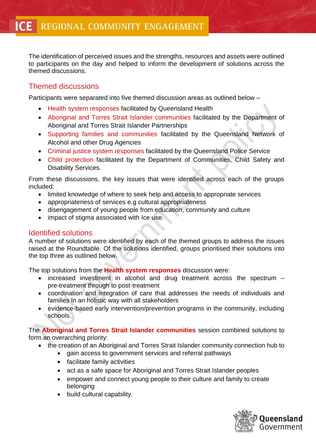The identification of perceived issues and the strengths, resources and assets were outlined to participants on the day and helped to inform the development of solutions across the themed discussions.

### Themed discussions

Participants were separated into five themed discussion areas as outlined below –

- Health system responses facilitated by Queensland Health
- Aboriginal and Torres Strait Islander communities facilitated by the Department of Aboriginal and Torres Strait Islander Partnerships
- Supporting families and communities facilitated by the Queensland Network of Alcohol and other Drug Agencies
- Criminal justice system responses facilitated by the Queensland Police Service
- Child protection facilitated by the Department of Communities, Child Safety and Disability Services.

From these discussions, the key issues that were identified across each of the groups included:

- limited knowledge of where to seek help and access to appropriate services
- appropriateness of services e.g cultural appropriateness
- disengagement of young people from education, community and culture
- impact of stigma associated with Ice use.

#### Identified solutions

A number of solutions were identified by each of the themed groups to address the issues raised at the Roundtable. Of the solutions identified, groups prioritised their solutions into the top three as outlined below.

The top solutions from the **Health system responses** discussion were:

- increased investment in alcohol and drug treatment across the spectrum pre-treatment through to post-treatment
- coordination and integration of care that addresses the needs of individuals and families in an holistic way with all stakeholders
- evidence-based early intervention/prevention programs in the community, including schools.

The **Aboriginal and Torres Strait Islander communities** session combined solutions to form an overarching priority:

- the creation of an Aboriginal and Torres Strait Islander community connection hub to
	- gain access to government services and referral pathways
	- facilitate family activities
	- act as a safe space for Aboriginal and Torres Strait Islander peoples
	- empower and connect young people to their culture and family to create belonging
	- build cultural capability.

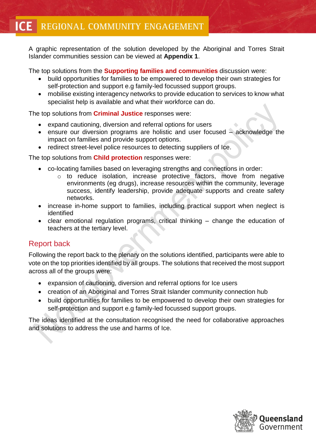#### REGIONAL COMMUNITY ENGAGEMENT **ICE**

A graphic representation of the solution developed by the Aboriginal and Torres Strait Islander communities session can be viewed at **Appendix 1**.

The top solutions from the **Supporting families and communities** discussion were:

- build opportunities for families to be empowered to develop their own strategies for self-protection and support e.g family-led focussed support groups.
- mobilise existing interagency networks to provide education to services to know what specialist help is available and what their workforce can do.

The top solutions from **Criminal Justice** responses were:

- expand cautioning, diversion and referral options for users
- ensure our diversion programs are holistic and user focused acknowledge the impact on families and provide support options.
- redirect street-level police resources to detecting suppliers of Ice.

The top solutions from **Child protection** responses were:

- co-locating families based on leveraging strengths and connections in order:
	- o to reduce isolation, increase protective factors, move from negative environments (eg drugs), increase resources within the community, leverage success, identify leadership, provide adequate supports and create safety networks.
- increase in-home support to families, including practical support when neglect is identified
- clear emotional regulation programs, critical thinking change the education of teachers at the tertiary level.

### Report back

Following the report back to the plenary on the solutions identified, participants were able to vote on the top priorities identified by all groups. The solutions that received the most support across all of the groups were:

- expansion of cautioning, diversion and referral options for Ice users
- creation of an Aboriginal and Torres Strait Islander community connection hub
- build opportunities for families to be empowered to develop their own strategies for self-protection and support e.g family-led focussed support groups.

The ideas identified at the consultation recognised the need for collaborative approaches and solutions to address the use and harms of Ice.

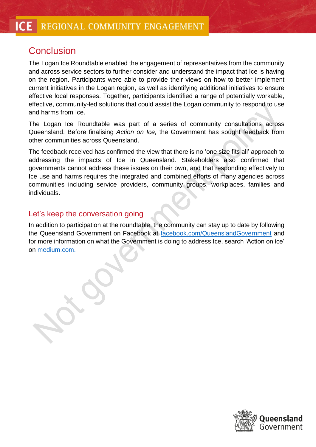# **Conclusion**

The Logan Ice Roundtable enabled the engagement of representatives from the community and across service sectors to further consider and understand the impact that Ice is having on the region. Participants were able to provide their views on how to better implement current initiatives in the Logan region, as well as identifying additional initiatives to ensure effective local responses. Together, participants identified a range of potentially workable, effective, community-led solutions that could assist the Logan community to respond to use and harms from Ice.

The Logan Ice Roundtable was part of a series of community consultations across Queensland. Before finalising *Action on Ice,* the Government has sought feedback from other communities across Queensland.

The feedback received has confirmed the view that there is no 'one size fits all' approach to addressing the impacts of Ice in Queensland. Stakeholders also confirmed that governments cannot address these issues on their own, and that responding effectively to Ice use and harms requires the integrated and combined efforts of many agencies across communities including service providers, community groups, workplaces, families and individuals.

### Let's keep the conversation going

In addition to participation at the roundtable, the community can stay up to date by following the Queensland Government on Facebook at [facebook.com/QueenslandGovernment](https://www.facebook.com/QueenslandGovernment) and for more information on what the Government is doing to address Ice, search 'Action on ice' on [medium.com.](https://medium.com/)

Government